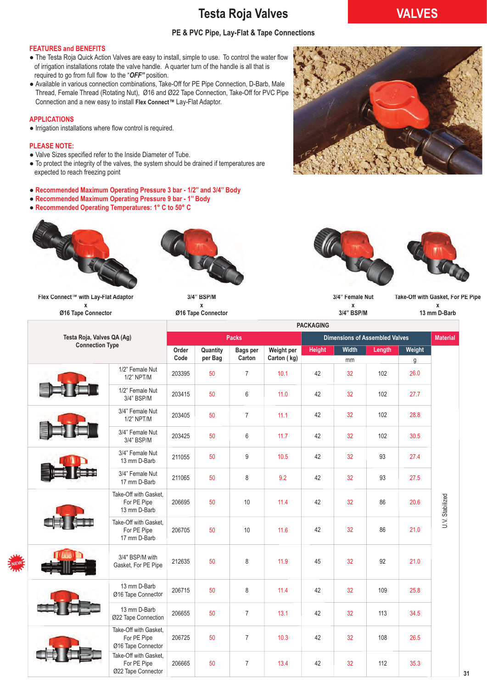### **Testa Roja Valves VALVES**

#### **PE & PVC Pipe, Lay-Flat & Tape Connections**

#### **FEATURES and BENEFITS**

- The Testa Roja Quick Action Valves are easy to install, simple to use. To control the water flow of irrigation installations rotate the valve handle. A quarter turn of the handle is all that is required to go from full flow to the "*OFF"* position.
- Available in various connection combinations, Take-Off for PE Pipe Connection, D-Barb, Male Thread, Female Thread (Rotating Nut), Ø16 and Ø22 Tape Connection, Take-Off for PVC Pipe Connection and a new easy to install **Flex Connect™** Lay-Flat Adaptor.

#### **APPLICATIONS**

● Irrigation installations where flow control is required.

#### **PLEASE NOTE:**

- Valve Sizes specified refer to the Inside Diameter of Tube.
- To protect the integrity of the valves, the system should be drained if temperatures are expected to reach freezing point
- **Recommended Maximum Operating Pressure 3 bar 1/2'' and 3/4'' Body**
- **Recommended Maximum Operating Pressure 9 bar 1'' Body**
- **Recommended Operating Temperatures: 1° C to 50° C**





**Flex Connect™ with Lay-Flat Adaptor x Ø16 Tape Connector**



**Ø16 Tape Connector**





**3/4" Female Nut x** 

**3/4" BSP/M** 

**Take-Off with Gasket, For PE Pipe x** 

**13 mm D-Barb**

|                            |                                                            | <b>PACKAGING</b> |                     |                           |                           |               |                                       |        |             |                 |  |
|----------------------------|------------------------------------------------------------|------------------|---------------------|---------------------------|---------------------------|---------------|---------------------------------------|--------|-------------|-----------------|--|
| Testa Roja, Valves QA (Ag) |                                                            |                  |                     | <b>Packs</b>              |                           |               | <b>Dimensions of Assembled Valves</b> |        |             | <b>Material</b> |  |
| <b>Connection Type</b>     |                                                            | Order<br>Code    | Quantity<br>per Bag | <b>Bags per</b><br>Carton | Weight per<br>Carton (kg) | <b>Height</b> | Width<br>mm                           | Length | Weight<br>g |                 |  |
|                            | 1/2" Female Nut<br>1/2" NPT/M                              | 203395           | 50                  | $\overline{7}$            | 10.1                      | 42            | 32                                    | 102    | 26.0        |                 |  |
|                            | 1/2" Female Nut<br>3/4" BSP/M                              | 203415           | 50                  | $6\phantom{1}$            | 11.0                      | 42            | 32                                    | 102    | 27.7        |                 |  |
|                            | 3/4" Female Nut<br>$1/2$ " NPT/M                           | 203405           | 50                  | $\overline{7}$            | 11.1                      | 42            | 32                                    | 102    | 28.8        |                 |  |
|                            | 3/4" Female Nut<br>3/4" BSP/M                              | 203425           | 50                  | $6\,$                     | 11.7                      | 42            | 32                                    | 102    | 30.5        |                 |  |
|                            | 3/4" Female Nut<br>13 mm D-Barb                            | 211055           | 50                  | 9                         | 10.5                      | 42            | 32                                    | 93     | 27.4        |                 |  |
|                            | 3/4" Female Nut<br>17 mm D-Barb                            | 211065           | 50                  | 8                         | 9.2                       | 42            | 32                                    | 93     | 27.5        |                 |  |
|                            | Take-Off with Gasket.<br>For PE Pipe<br>13 mm D-Barb       | 206695           | 50                  | 10                        | 11.4                      | 42            | 32                                    | 86     | 20.6        | U.V. Stabilized |  |
|                            | Take-Off with Gasket,<br>For PE Pipe<br>17 mm D-Barb       | 206705           | 50                  | 10                        | 11.6                      | 42            | 32                                    | 86     | 21.0        |                 |  |
|                            | 3/4" BSP/M with<br>Gasket, For PE Pipe                     | 212635           | 50                  | 8                         | 11.9                      | 45            | 32                                    | 92     | 21.0        |                 |  |
|                            | 13 mm D-Barb<br>Ø16 Tape Connector                         | 206715           | 50                  | 8                         | 11.4                      | 42            | 32                                    | 109    | 25.8        |                 |  |
|                            | 13 mm D-Barb<br>Ø22 Tape Connection                        | 206655           | 50                  | $\overline{7}$            | 13.1                      | 42            | 32                                    | 113    | 34.5        |                 |  |
|                            | Take-Off with Gasket,<br>For PE Pipe<br>Ø16 Tape Connector | 206725           | 50                  | $\overline{7}$            | 10.3                      | 42            | 32                                    | 108    | 26.5        |                 |  |
|                            | Take-Off with Gasket,<br>For PE Pipe<br>Ø22 Tape Connector | 206665           | 50                  | $\overline{7}$            | 13.4                      | 42            | 32                                    | 112    | 35.3        |                 |  |

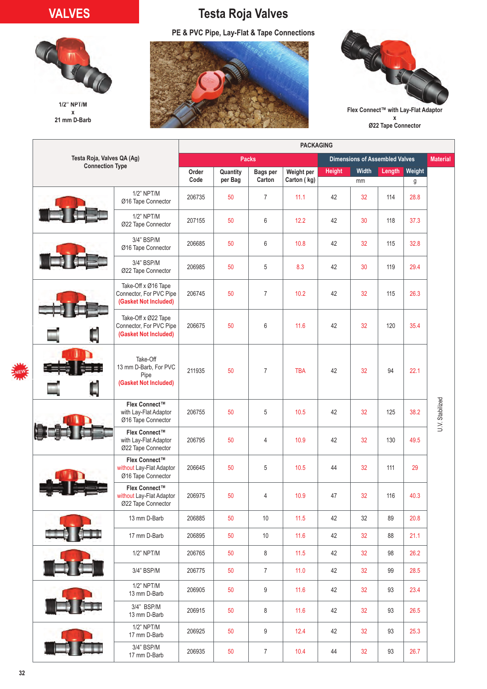## **VALVES**



**1/2" NPT/M x 21 mm D-Barb** 

## **Testa Roja Valves**

**PE & PVC Pipe, Lay-Flat & Tape Connections**





**Flex Connect™ with Lay-Flat Adaptor x Ø22 Tape Connector**

|                            |                                                                         | <b>PACKAGING</b> |                     |                           |                                       |                 |             |        |             |                 |
|----------------------------|-------------------------------------------------------------------------|------------------|---------------------|---------------------------|---------------------------------------|-----------------|-------------|--------|-------------|-----------------|
| Testa Roja, Valves QA (Ag) |                                                                         |                  |                     | <b>Packs</b>              | <b>Dimensions of Assembled Valves</b> | <b>Material</b> |             |        |             |                 |
| <b>Connection Type</b>     |                                                                         | Order<br>Code    | Quantity<br>per Bag | <b>Bags per</b><br>Carton | Weight per<br>Carton (kg)             | <b>Height</b>   | Width<br>mm | Length | Weight<br>g |                 |
|                            | 1/2" NPT/M<br>Ø16 Tape Connector                                        | 206735           | 50                  | $\overline{7}$            | 11.1                                  | 42              | 32          | 114    | 28.8        |                 |
|                            | 1/2" NPT/M<br>Ø22 Tape Connector                                        | 207155           | 50                  | 6                         | 12.2                                  | 42              | 30          | 118    | 37.3        |                 |
|                            | 3/4" BSP/M<br>Ø16 Tape Connector                                        | 206685           | 50                  | 6                         | 10.8                                  | 42              | 32          | 115    | 32.8        |                 |
|                            | 3/4" BSP/M<br>Ø22 Tape Connector                                        | 206985           | 50                  | 5                         | 8.3                                   | 42              | 30          | 119    | 29.4        |                 |
|                            | Take-Off x Ø16 Tape<br>Connector, For PVC Pipe<br>(Gasket Not Included) | 206745           | 50                  | $\overline{7}$            | 10.2                                  | 42              | 32          | 115    | 26.3        |                 |
|                            | Take-Off x Ø22 Tape<br>Connector, For PVC Pipe<br>(Gasket Not Included) | 206675           | 50                  | 6                         | 11.6                                  | 42              | 32          | 120    | 35.4        |                 |
|                            | Take-Off<br>13 mm D-Barb, For PVC<br>Pipe<br>(Gasket Not Included)      | 211935           | 50                  | $\overline{7}$            | <b>TBA</b>                            | 42              | 32          | 94     | 22.1        |                 |
|                            | Flex Connect™<br>with Lay-Flat Adaptor<br>Ø16 Tape Connector            | 206755           | 50                  | 5                         | 10.5                                  | 42              | 32          | 125    | 38.2        | U.V. Stabilized |
|                            | Flex Connect™<br>with Lay-Flat Adaptor<br>Ø22 Tape Connector            | 206795           | 50                  | 4                         | 10.9                                  | 42              | 32          | 130    | 49.5        |                 |
|                            | Flex Connect™<br>without Lay-Flat Adaptor<br>Ø16 Tape Connector         | 206645           | 50                  | 5                         | 10.5                                  | 44              | 32          | 111    | 29          |                 |
|                            | Flex Connect™<br>without Lay-Flat Adaptor<br>Ø22 Tape Connector         | 206975           | 50                  | 4                         | 10.9                                  | 47              | 32          | 116    | 40.3        |                 |
|                            | 13 mm D-Barb                                                            | 206885           | 50                  | 10                        | 11.5                                  | 42              | 32          | 89     | 20.8        |                 |
|                            | 17 mm D-Barb                                                            | 206895           | 50                  | $10$                      | 11.6                                  | 42              | 32          | 88     | 21.1        |                 |
|                            | 1/2" NPT/M                                                              | 206765           | 50                  | 8                         | $11.5$                                | 42              | 32          | 98     | 26.2        |                 |
|                            | 3/4" BSP/M                                                              | 206775           | 50                  | $\overline{7}$            | 11.0                                  | 42              | 32          | 99     | 28.5        |                 |
|                            | 1/2" NPT/M<br>13 mm D-Barb                                              | 206905           | 50                  | 9                         | 11.6                                  | 42              | 32          | 93     | 23.4        |                 |
|                            | 3/4" BSP/M<br>13 mm D-Barb                                              | 206915           | 50                  | 8                         | 11.6                                  | 42              | 32          | 93     | 26.5        |                 |
|                            | 1/2" NPT/M<br>17 mm D-Barb                                              | 206925           | 50                  | 9                         | 12.4                                  | 42              | 32          | 93     | 25.3        |                 |
|                            | 3/4" BSP/M<br>17 mm D-Barb                                              | 206935           | 50                  | $\overline{7}$            | 10.4                                  | 44              | 32          | 93     | 26.7        |                 |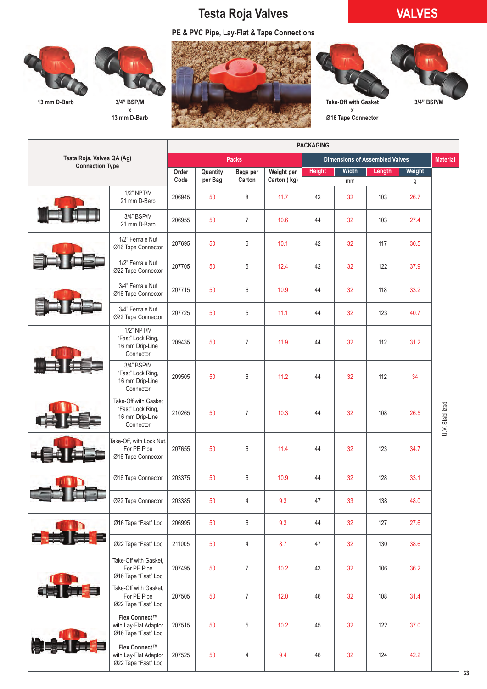# **Testa Roja Valves VALVES**

**PE & PVC Pipe, Lay-Flat & Tape Connections**

**33**





**x 13 mm D-Barb** 





**x Ø16 Tape Connector**

|  |                                                                 |                                                                           | <b>PACKAGING</b> |                |                 |                     |                                       |          |        |           |                 |  |
|--|-----------------------------------------------------------------|---------------------------------------------------------------------------|------------------|----------------|-----------------|---------------------|---------------------------------------|----------|--------|-----------|-----------------|--|
|  | Testa Roja, Valves QA (Ag)                                      |                                                                           |                  |                | <b>Packs</b>    |                     | <b>Dimensions of Assembled Valves</b> |          |        |           |                 |  |
|  | <b>Connection Type</b>                                          |                                                                           | Order            | Quantity       | <b>Bags per</b> | Weight per          | <b>Height</b>                         | Width    | Length | Weight    |                 |  |
|  |                                                                 | $1/2$ " NPT/M                                                             | Code<br>206945   | per Bag<br>50  | Carton<br>8     | Carton (kg)<br>11.7 | 42                                    | mm<br>32 | 103    | g<br>26.7 |                 |  |
|  |                                                                 | 21 mm D-Barb<br>3/4" BSP/M<br>21 mm D-Barb                                | 206955           | 50             | $\overline{7}$  | 10.6                | 44                                    | 32       | 103    | 27.4      |                 |  |
|  | 1/2" Female Nut<br>Ø16 Tape Connector                           | 207695                                                                    | 50               | 6              | 10.1            | 42                  | 32                                    | 117      | 30.5   |           |                 |  |
|  |                                                                 | 1/2" Female Nut<br>Ø22 Tape Connector                                     | 207705           | 50             | $6\,$           | 12.4                | 42                                    | 32       | 122    | 37.9      |                 |  |
|  |                                                                 | 3/4" Female Nut<br>Ø16 Tape Connector                                     | 207715           | 50             | $\,6\,$         | 10.9                | 44                                    | 32       | 118    | 33.2      |                 |  |
|  |                                                                 | 3/4" Female Nut<br>Ø22 Tape Connector                                     | 207725           | 50             | 5               | 11.1                | 44                                    | 32       | 123    | 40.7      |                 |  |
|  | 1/2" NPT/M<br>"Fast" Lock Ring,<br>16 mm Drip-Line<br>Connector | 209435                                                                    | 50               | $\overline{7}$ | 11.9            | 44                  | 32                                    | 112      | 31.2   |           |                 |  |
|  | 3/4" BSP/M<br>"Fast" Lock Ring,<br>16 mm Drip-Line<br>Connector | 209505                                                                    | 50               | $6\,$          | 11.2            | 44                  | 32                                    | 112      | 34     |           |                 |  |
|  |                                                                 | Take-Off with Gasket<br>"Fast" Lock Ring,<br>16 mm Drip-Line<br>Connector | 210265           | 50             | $\overline{7}$  | 10.3                | 44                                    | 32       | 108    | 26.5      | U.V. Stabilized |  |
|  |                                                                 | Take-Off, with Lock Nut,<br>For PE Pipe<br>Ø16 Tape Connector             | 207655           | 50             | 6               | 11.4                | 44                                    | 32       | 123    | 34.7      |                 |  |
|  |                                                                 | Ø16 Tape Connector                                                        | 203375           | 50             | 6               | 10.9                | 44                                    | 32       | 128    | 33.1      |                 |  |
|  |                                                                 | Ø22 Tape Connector                                                        | 203385           | 50             | 4               | 9.3                 | 47                                    | 33       | 138    | 48.0      |                 |  |
|  |                                                                 | Ø16 Tape "Fast" Loc                                                       | 206995           | 50             | $6\,$           | 9.3                 | 44                                    | 32       | 127    | 27.6      |                 |  |
|  | -25                                                             | Ø22 Tape "Fast" Loc                                                       | 211005           | 50             | 4               | 8.7                 | 47                                    | 32       | 130    | 38.6      |                 |  |
|  |                                                                 | Take-Off with Gasket,<br>For PE Pipe<br>Ø16 Tape "Fast" Loc               | 207495           | 50             | $\overline{7}$  | 10.2                | 43                                    | 32       | 106    | 36.2      |                 |  |
|  | Take-Off with Gasket,<br>For PE Pipe<br>Ø22 Tape "Fast" Loc     | 207505                                                                    | 50               | $\overline{7}$ | 12.0            | 46                  | 32                                    | 108      | 31.4   |           |                 |  |
|  |                                                                 | Flex Connect™<br>with Lay-Flat Adaptor<br>Ø16 Tape "Fast" Loc             | 207515           | 50             | 5               | 10.2                | 45                                    | 32       | 122    | 37.0      |                 |  |
|  |                                                                 | Flex Connect™<br>with Lay-Flat Adaptor<br>Ø22 Tape "Fast" Loc             | 207525           | 50             | 4               | 9.4                 | 46                                    | 32       | 124    | 42.2      |                 |  |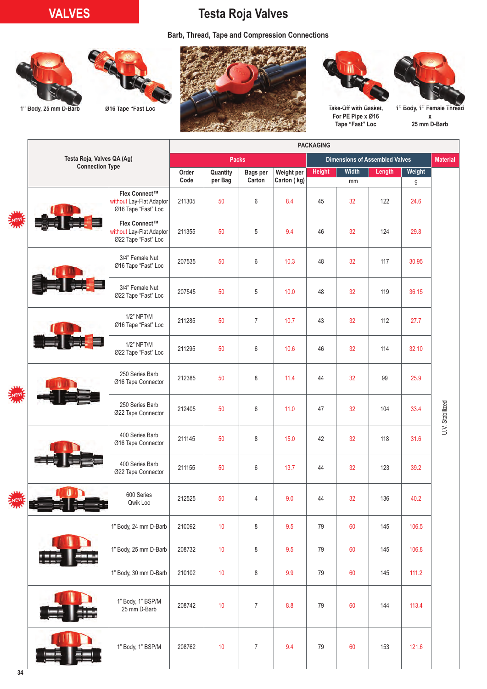## **VALVES Testa Roja Valves**

**Barb, Thread, Tape and Compression Connections**





1" Body, 25 mm D-Barb **Ø16 Tape "Fast Loc** 







**For PE Pipe x Ø16 Tape "Fast" Loc** 

**1" Body, 1" Female Thread x 25 mm D-Barb**

|    |                            |                                                                  | <b>PACKAGING</b> |               |                  |                    |               |                                       |                 |           |                 |  |
|----|----------------------------|------------------------------------------------------------------|------------------|---------------|------------------|--------------------|---------------|---------------------------------------|-----------------|-----------|-----------------|--|
|    | Testa Roja, Valves QA (Ag) |                                                                  |                  |               | <b>Packs</b>     |                    |               | <b>Dimensions of Assembled Valves</b> | <b>Material</b> |           |                 |  |
|    | <b>Connection Type</b>     |                                                                  | Order            | Quantity      | <b>Bags per</b>  | Weight per         | <b>Height</b> | Width                                 | Length          | Weight    |                 |  |
|    |                            | Flex Connect™<br>without Lay-Flat Adaptor<br>Ø16 Tape "Fast" Loc | Code<br>211305   | per Bag<br>50 | Carton<br>$6\,$  | Carton (kg)<br>8.4 | 45            | mm<br>32                              | 122             | g<br>24.6 |                 |  |
|    |                            | Flex Connect™<br>without Lay-Flat Adaptor<br>Ø22 Tape "Fast" Loc | 211355           | 50            | 5                | 9.4                | 46            | 32                                    | 124             | 29.8      |                 |  |
|    |                            | 3/4" Female Nut<br>Ø16 Tape "Fast" Loc                           | 207535           | 50            | $6\,$            | 10.3               | 48            | 32                                    | 117             | 30.95     |                 |  |
|    |                            | 3/4" Female Nut<br>Ø22 Tape "Fast" Loc                           | 207545           | 50            | 5                | 10.0               | 48            | 32                                    | 119             | 36.15     |                 |  |
|    |                            | 1/2" NPT/M<br>Ø16 Tape "Fast" Loc                                | 211285           | 50            | $\overline{7}$   | 10.7               | 43            | 32                                    | 112             | 27.7      |                 |  |
|    |                            | 1/2" NPT/M<br>Ø22 Tape "Fast" Loc                                | 211295           | 50            | $6\,$            | 10.6               | 46            | 32                                    | 114             | 32.10     |                 |  |
|    |                            | 250 Series Barb<br>Ø16 Tape Connector                            | 212385           | 50            | 8                | 11.4               | 44            | 32                                    | 99              | 25.9      |                 |  |
|    |                            | 250 Series Barb<br>Ø22 Tape Connector                            | 212405           | 50            | 6                | 11.0               | 47            | 32                                    | 104             | 33.4      | U.V. Stabilized |  |
|    |                            | 400 Series Barb<br>Ø16 Tape Connector                            | 211145           | 50            | 8                | 15.0               | 42            | 32                                    | 118             | 31.6      |                 |  |
|    |                            | 400 Series Barb<br>Ø22 Tape Connector                            | 211155           | 50            | 6                | 13.7               | 44            | 32                                    | 123             | 39.2      |                 |  |
|    |                            | 600 Series<br>Qwik Loc                                           | 212525           | 50            | 4                | 9.0                | 44            | 32                                    | 136             | 40.2      |                 |  |
|    |                            | 1" Body, 24 mm D-Barb                                            | 210092           | 10            | 8                | 9.5                | 79            | 60                                    | 145             | 106.5     |                 |  |
|    |                            | 1" Body, 25 mm D-Barb                                            | 208732           | 10            | 8                | 9.5                | 79            | 60                                    | 145             | 106.8     |                 |  |
|    |                            | 1" Body, 30 mm D-Barb                                            | 210102           | $10$          | 8                | 9.9                | 79            | 60                                    | 145             | 111.2     |                 |  |
|    |                            | 1" Body, 1" BSP/M<br>25 mm D-Barb                                | 208742           | 10            | $\overline{7}$   | 8.8                | 79            | 60                                    | 144             | 113.4     |                 |  |
|    |                            | 1" Body, 1" BSP/M                                                | 208762           | 10            | $\boldsymbol{7}$ | 9.4                | 79            | 60                                    | 153             | 121.6     |                 |  |
| 34 |                            |                                                                  |                  |               |                  |                    |               |                                       |                 |           |                 |  |